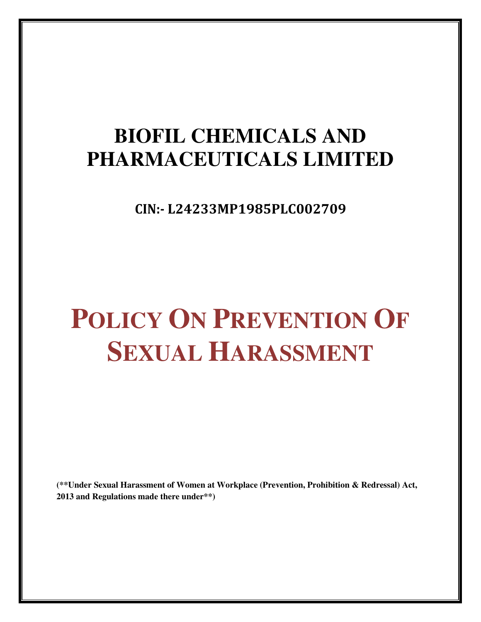## **BIOFIL CHEMICALS AND PHARMACEUTICALS LIMITED**

CIN:- L24233MP1985PLC002709

# **POLICY ON PREVENTION OF SEXUAL HARASSMENT**

**(\*\*Under Sexual Harassment of Women at Workplace (Prevention, Prohibition & Redressal) Act, 2013 and Regulations made there under\*\*)**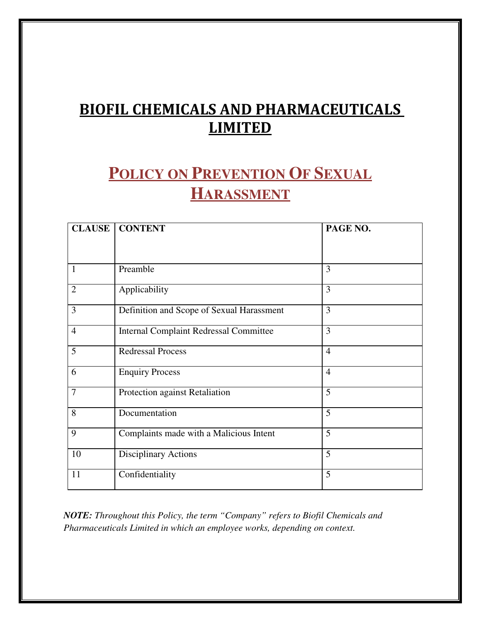## BIOFIL CHEMICALS AND PHARMACEUTICALS **LIMITED**

## **POLICY ON PREVENTION OF SEXUAL HARASSMENT**

| <b>CONTENT</b>                                | PAGE NO.       |
|-----------------------------------------------|----------------|
|                                               |                |
| Preamble                                      | 3              |
| Applicability                                 | 3              |
| Definition and Scope of Sexual Harassment     | 3              |
| <b>Internal Complaint Redressal Committee</b> | 3              |
| <b>Redressal Process</b>                      | $\overline{4}$ |
| <b>Enquiry Process</b>                        | $\overline{4}$ |
| Protection against Retaliation                | 5              |
| Documentation                                 | 5              |
| Complaints made with a Malicious Intent       | 5              |
| <b>Disciplinary Actions</b>                   | 5              |
| Confidentiality                               | 5              |
|                                               |                |

*NOTE: Throughout this Policy, the term "Company" refers to Biofil Chemicals and Pharmaceuticals Limited in which an employee works, depending on context.*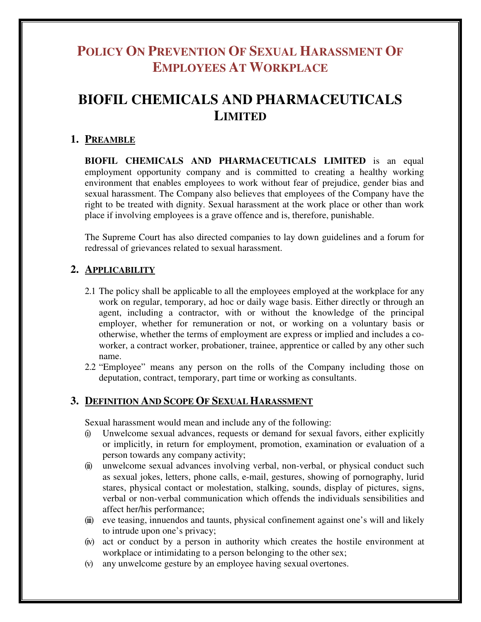### **POLICY ON PREVENTION OF SEXUAL HARASSMENT OF EMPLOYEES AT WORKPLACE**

## **BIOFIL CHEMICALS AND PHARMACEUTICALS LIMITED**

#### **1. PREAMBLE**

**BIOFIL CHEMICALS AND PHARMACEUTICALS LIMITED** is an equal employment opportunity company and is committed to creating a healthy working environment that enables employees to work without fear of prejudice, gender bias and sexual harassment. The Company also believes that employees of the Company have the right to be treated with dignity. Sexual harassment at the work place or other than work place if involving employees is a grave offence and is, therefore, punishable.

The Supreme Court has also directed companies to lay down guidelines and a forum for redressal of grievances related to sexual harassment.

#### **2. APPLICABILITY**

- 2.1 The policy shall be applicable to all the employees employed at the workplace for any work on regular, temporary, ad hoc or daily wage basis. Either directly or through an agent, including a contractor, with or without the knowledge of the principal employer, whether for remuneration or not, or working on a voluntary basis or otherwise, whether the terms of employment are express or implied and includes a coworker, a contract worker, probationer, trainee, apprentice or called by any other such name.
- 2.2 "Employee" means any person on the rolls of the Company including those on deputation, contract, temporary, part time or working as consultants.

#### **3. DEFINITION AND SCOPE OF SEXUAL HARASSMENT**

Sexual harassment would mean and include any of the following:

- (i) Unwelcome sexual advances, requests or demand for sexual favors, either explicitly or implicitly, in return for employment, promotion, examination or evaluation of a person towards any company activity;
- (ii) unwelcome sexual advances involving verbal, non-verbal, or physical conduct such as sexual jokes, letters, phone calls, e-mail, gestures, showing of pornography, lurid stares, physical contact or molestation, stalking, sounds, display of pictures, signs, verbal or non-verbal communication which offends the individuals sensibilities and affect her/his performance;
- (iii) eve teasing, innuendos and taunts, physical confinement against one's will and likely to intrude upon one's privacy;
- (iv) act or conduct by a person in authority which creates the hostile environment at workplace or intimidating to a person belonging to the other sex;
- (v) any unwelcome gesture by an employee having sexual overtones.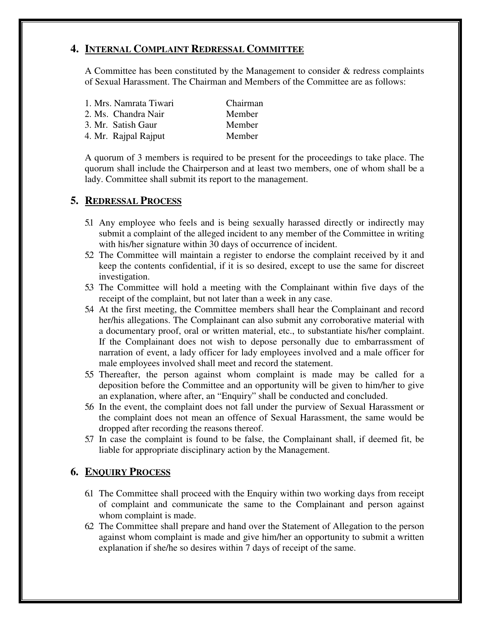#### **4. INTERNAL COMPLAINT REDRESSAL COMMITTEE**

A Committee has been constituted by the Management to consider & redress complaints of Sexual Harassment. The Chairman and Members of the Committee are as follows:

| 1. Mrs. Namrata Tiwari | Chairman |
|------------------------|----------|
| 2. Ms. Chandra Nair    | Member   |
| 3. Mr. Satish Gaur     | Member   |
| 4. Mr. Rajpal Rajput   | Member   |

A quorum of 3 members is required to be present for the proceedings to take place. The quorum shall include the Chairperson and at least two members, one of whom shall be a lady. Committee shall submit its report to the management.

#### **5. REDRESSAL PROCESS**

- 5.1 Any employee who feels and is being sexually harassed directly or indirectly may submit a complaint of the alleged incident to any member of the Committee in writing with his/her signature within 30 days of occurrence of incident.
- 5.2 The Committee will maintain a register to endorse the complaint received by it and keep the contents confidential, if it is so desired, except to use the same for discreet investigation.
- 5.3 The Committee will hold a meeting with the Complainant within five days of the receipt of the complaint, but not later than a week in any case.
- 5.4 At the first meeting, the Committee members shall hear the Complainant and record her/his allegations. The Complainant can also submit any corroborative material with a documentary proof, oral or written material, etc., to substantiate his/her complaint. If the Complainant does not wish to depose personally due to embarrassment of narration of event, a lady officer for lady employees involved and a male officer for male employees involved shall meet and record the statement.
- 5.5 Thereafter, the person against whom complaint is made may be called for a deposition before the Committee and an opportunity will be given to him/her to give an explanation, where after, an "Enquiry" shall be conducted and concluded.
- 5.6 In the event, the complaint does not fall under the purview of Sexual Harassment or the complaint does not mean an offence of Sexual Harassment, the same would be dropped after recording the reasons thereof.
- 5.7 In case the complaint is found to be false, the Complainant shall, if deemed fit, be liable for appropriate disciplinary action by the Management.

#### **6. ENQUIRY PROCESS**

- 6.1 The Committee shall proceed with the Enquiry within two working days from receipt of complaint and communicate the same to the Complainant and person against whom complaint is made.
- 6.2 The Committee shall prepare and hand over the Statement of Allegation to the person against whom complaint is made and give him/her an opportunity to submit a written explanation if she/he so desires within 7 days of receipt of the same.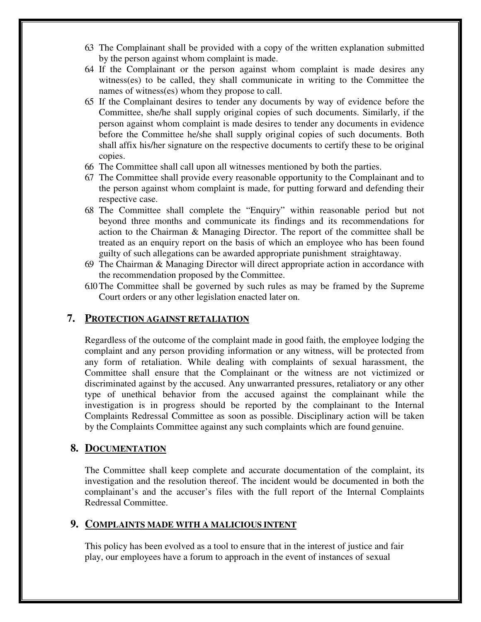- 6.3 The Complainant shall be provided with a copy of the written explanation submitted by the person against whom complaint is made.
- 6.4 If the Complainant or the person against whom complaint is made desires any witness(es) to be called, they shall communicate in writing to the Committee the names of witness(es) whom they propose to call.
- 6.5 If the Complainant desires to tender any documents by way of evidence before the Committee, she/he shall supply original copies of such documents. Similarly, if the person against whom complaint is made desires to tender any documents in evidence before the Committee he/she shall supply original copies of such documents. Both shall affix his/her signature on the respective documents to certify these to be original copies.
- 6.6 The Committee shall call upon all witnesses mentioned by both the parties.
- 6.7 The Committee shall provide every reasonable opportunity to the Complainant and to the person against whom complaint is made, for putting forward and defending their respective case.
- 6.8 The Committee shall complete the "Enquiry" within reasonable period but not beyond three months and communicate its findings and its recommendations for action to the Chairman & Managing Director. The report of the committee shall be treated as an enquiry report on the basis of which an employee who has been found guilty of such allegations can be awarded appropriate punishment straightaway.
- 6.9 The Chairman & Managing Director will direct appropriate action in accordance with the recommendation proposed by the Committee.
- 6.10 The Committee shall be governed by such rules as may be framed by the Supreme Court orders or any other legislation enacted later on.

#### **7. PROTECTION AGAINST RETALIATION**

Regardless of the outcome of the complaint made in good faith, the employee lodging the complaint and any person providing information or any witness, will be protected from any form of retaliation. While dealing with complaints of sexual harassment, the Committee shall ensure that the Complainant or the witness are not victimized or discriminated against by the accused. Any unwarranted pressures, retaliatory or any other type of unethical behavior from the accused against the complainant while the investigation is in progress should be reported by the complainant to the Internal Complaints Redressal Committee as soon as possible. Disciplinary action will be taken by the Complaints Committee against any such complaints which are found genuine.

#### **8. DOCUMENTATION**

The Committee shall keep complete and accurate documentation of the complaint, its investigation and the resolution thereof. The incident would be documented in both the complainant's and the accuser's files with the full report of the Internal Complaints Redressal Committee.

#### **9. COMPLAINTS MADE WITH A MALICIOUS INTENT**

This policy has been evolved as a tool to ensure that in the interest of justice and fair play, our employees have a forum to approach in the event of instances of sexual